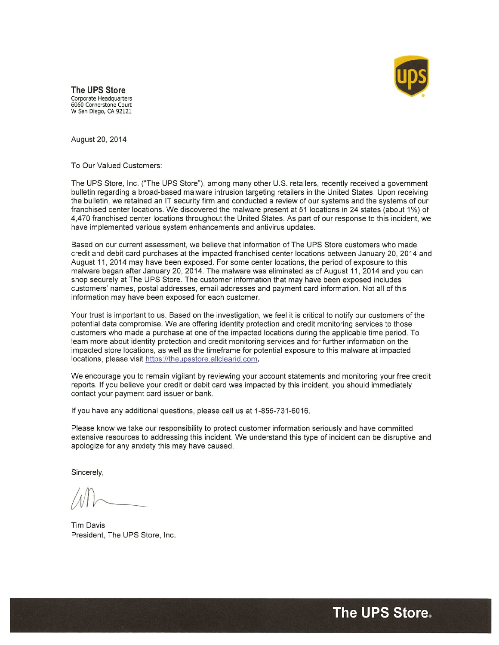

The UPS Store Corporate Headquarters 6060 Cornerstone Court W San Diego, CA 92121

August 20, 2014

To Our Valued Customers:

The UPS Store, Inc. ("The UPS Store"), among many other U.S. retailers, recently received a government bulletin regarding a broad-based malware intrusion targeting retailers in the United States. Upon receiving the bulletin, we retained an IT security firm and conducted a review of our systems and the systems of our franchised center locations. We discovered the malware present at 51 locations in 24 states (about 1%) of 4,470 franchised center locations throughout the United States. As part of our response to this incident, we have implemented various system enhancements and antivirus updates.

Based on our current assessment, we believe that information of The UPS Store customers who made credit and debit card purchases at the impacted franchised center locations between January 20, 2014 and August 11, 2014 may have been exposed. For some center locations, the period of exposure to this malware began after January 20, 2014. The malware was eliminated as of August 11, 2014 and you can shop securely at The UPS Store. The customer information that may have been exposed includes customers' names, postal addresses, email addresses and payment card information. Not all of this information may have been exposed for each customer.

Your trust is important to us. Based on the investigation, we feel it is critical to notify our customers of the potential data compromise. We are offering identity protection and credit monitoring services to those customers who made a purchase at one of the impacted locations during the applicable time period. To learn more about identity protection and credit monitoring services and for further information on the impacted store locations, as well as the timeframe for potential exposure to this malware at impacted locations, please visit https://theupsstore.allclearid.com.

We encourage you to remain vigilant by reviewing your account statements and monitoring your free credit reports. If you believe your credit or debit card was impacted by this incident, you should immediately contact your payment card issuer or bank.

If you have any additional questions, please call us at 1-855-731-6016.

Please know we take our responsibility to protect customer information seriously and have committed extensive resources to addressing this incident. We understand this type of incident can be disruptive and apologize for any anxiety this may have caused.

Sincerely,

Tim Davis President, The UPS Store, Inc.

The UPS Store.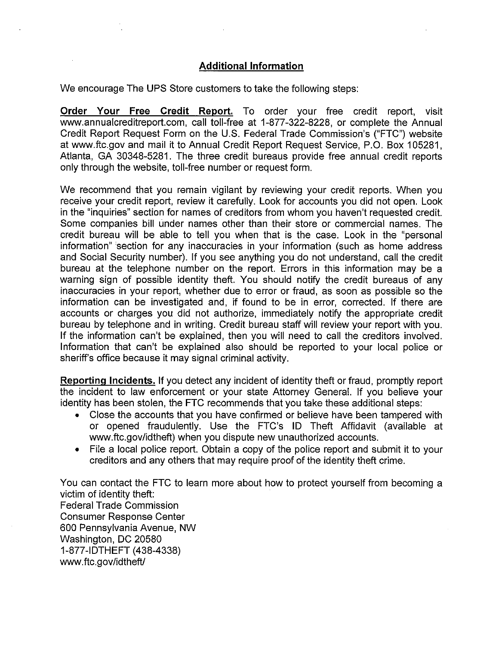## Additional Information

We encourage The UPS Store customers to take the following steps:

Order Your Free Credit Report. To order your free credit report, visit www.annualcreditreport.com, call toll-free at 1-877-322-8228, or complete the Annual Credit Report Request Form on the U.S. Federal Trade Commission's ("FTC") website at www.ftc.gov and mail it to Annual Credit Report Request Service, P.O. Box 105281, Atlanta, GA 30348-5281. The three credit bureaus provide free annual credit reports only through the website, toll-free number or request form.

We recommend that you remain vigilant by reviewing your credit reports. When you receive your credit report, review it carefully. Look for accounts you did not open. Look in the "inquiries" section for names of creditors from whom you haven't requested credit. Some companies bill under names other than their store or commercial names. The credit bureau will be able to tell you when that is the case. Look in the "personal information" section for any inaccuracies in your information (such as home address and Social Security number). If you see anything you do not understand, call the credit bureau at the telephone number on the report. Errors in this information may be a warning sign of possible identity theft. You should notify the credit bureaus of any inaccuracies in your report, whether due to error or fraud, as soon as possible so the information can be investigated and, if found to be in error, corrected. If there are accounts or charges you did not authorize, immediately notify the appropriate credit bureau by telephone and in writing. Credit bureau staff will review your report with you. If the information can't be explained, then you will need to call the creditors involved. Information that can't be explained also should be reported to your local police or sheriff's office because it may signal criminal activity.

Reporting Incidents. If you detect any incident of identity theft or fraud, promptly report the incident to law enforcement or your state Attorney General. If you believe your identity has been stolen, the FTC recommends that you take these additional steps:

- Close the accounts that you have confirmed or believe have been tampered with or opened fraudulently. Use the FTC's ID Theft Affidavit (available at www.ftc.gov/idtheft) when you dispute new unauthorized accounts.
- File a local police report. Obtain a copy of the police report and submit it to your creditors and any others that may require proof of the identity theft crime.

You can contact the FTC to learn more about how to protect yourself from becoming a victim of identity theft: Federal Trade Commission Consumer Response Center 600 Pennsylvania Avenue, NW Washington, DC 20580 <sup>1</sup> -877-IDTHEFT (438-4338) www.ftc.gov/idtheft/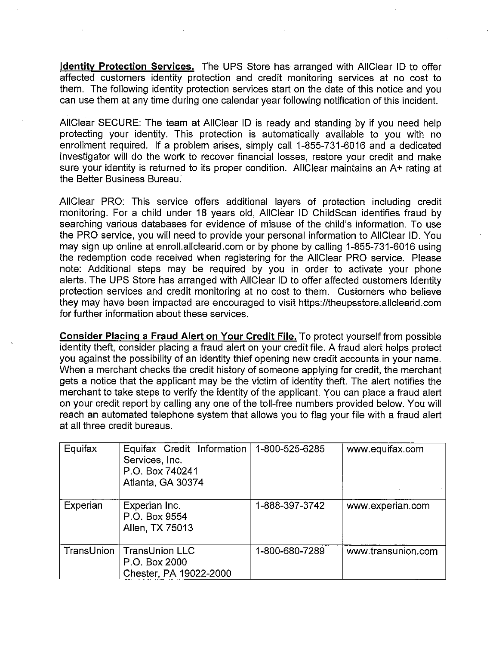Identity Protection Services. The UPS Store has arranged with AllClear ID to offer affected customers identity protection and credit monitoring services at no cost to them. The following identity protection services start on the date of this notice and you can use them at any time during one calendar year following notification of this incident.

AliClear SECURE: The team at AlIClear ID is ready and standing by if you need help protecting your identity. This protection is automatically available to you with no enrollment required. If a problem arises, simply call 1-855-731-6016 and a dedicated investigator will do the work to recover financial losses, restore your credit and make sure your identity is returned to its proper condition. AlIClear maintains an A+ rating at the Better Business Bureau:

AlIClear PRO: This service offers additional layers of protection including credit monitoring. For a child under 18 years old, AllClear ID ChildScan identifies fraud by searching various databases for evidence of misuse of the child's information. To use the PRO service, you will need to provide your personal information to AIlClear ID. You may sign up online at enroll.allclearid.com or by phone by calling 1-855-731-6016 using the redemption code received when registering for the AlIClear PRO service. Please note: Additional steps may be required by you in order to activate your phone alerts. The UPS Store has arranged with AlIClear ID to offer affected customers identity protection services and credit monitoring at no cost to them. Customers who believe they may have been impacted are encouraged to visit https://theupsstore.allclearid.com for further information about these services.

Consider Placing a Fraud Alert on Your Credit File. To protect yourself from possible identity theft, consider placing a fraud alert on your credit file. A fraud alert helps protect you against the possibility of an identity thief opening new credit accounts in your name. When a merchant checks the credit history of someone applying for credit, the merchant gets a notice that the applicant may be the victim of identity theft. The alert notifies the merchant to take steps to verify the identity of the applicant. You can place a fraud alert on your credit report by calling any one of the toll-free numbers provided below. You will reach an automated telephone system that allows you to flag your file with a fraud alert at all three credit bureaus.

| Equifax  | Equifax Credit Information<br>Services, Inc.<br>P.O. Box 740241<br>Atlanta, GA 30374 | 1-800-525-6285 | www.equifax.com    |
|----------|--------------------------------------------------------------------------------------|----------------|--------------------|
| Experian | Experian Inc.<br>P.O. Box 9554<br>Allen, TX 75013                                    | 1-888-397-3742 | www.experian.com   |
|          | TransUnion   TransUnion LLC<br>P.O. Box 2000<br>Chester, PA 19022-2000               | 1-800-680-7289 | www.transunion.com |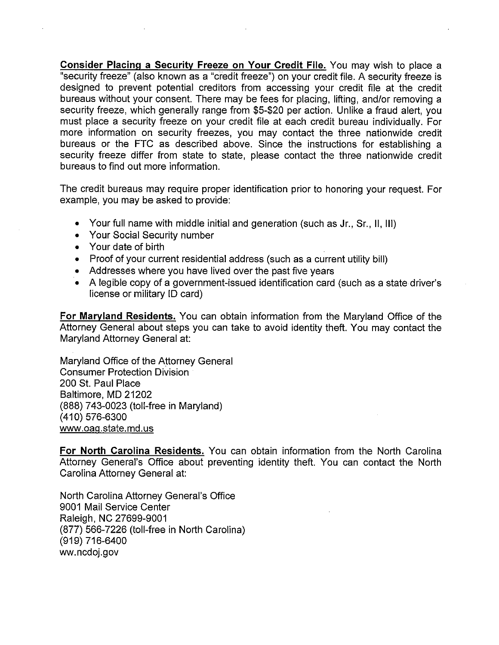Consider Placing a Security Freeze on Your Credit File. You may wish to place a "security freeze" (also known as a "ciedit freeze") on your credit file. A security freeze is designed to prevent potential creditors from accessing your credit file at the credit bureaus without your consent. There may be fees for placing, lifting, and/or removing a security freeze, which generally range from \$5-\$20 per action. Unlike a fraud alert, you must place a security freeze on your credit file at each credit bureau individually. For more information on security freezes, you may contact the three nationwide credit bureaus or the FTC as described above. Since the instructions for establishing a security freeze differ from state to state, please contact the three nationwide credit bureaus to find out more information.

The credit bureaus may require proper identification prior to honoring your request. For example, you may be asked to provide:

- Your full name with middle initial and generation (such as Jr., Sr., II, Ill)
- Your Social Security number
- Your date of birth
- Proof of your current residential address (such as a current utility bill)
- Addresses where you have lived over the past five years
- A legible copy of a government-issued identification card (such as a state driver's license or military ID card)

For Maryland Residents. You can obtain information from the Maryland Office of the Attorney General about steps you can take to avoid identity theft. You may contact the Maryland Attorney General at:

Maryland Office of the Attorney General Consumer Protection Division 200 St. Paul Place Baltimore, MD 21202 (888) 743-0023 (toll-free in Maryland) (410) 576-6300 www.oaq.state.md.us

For North Carolina Residents. You can obtain information from the North Carolina Attorney General's Office about preventing identity theft. You can contact the North Carolina Attorney General at:

North Carolina Attorney General's Office 9001 Mail Service Center Raleigh, NC 27699-9001 (877) 566-7226 (toll-free in North Carolina) (919) 716-6400 ww.ncdoj.gov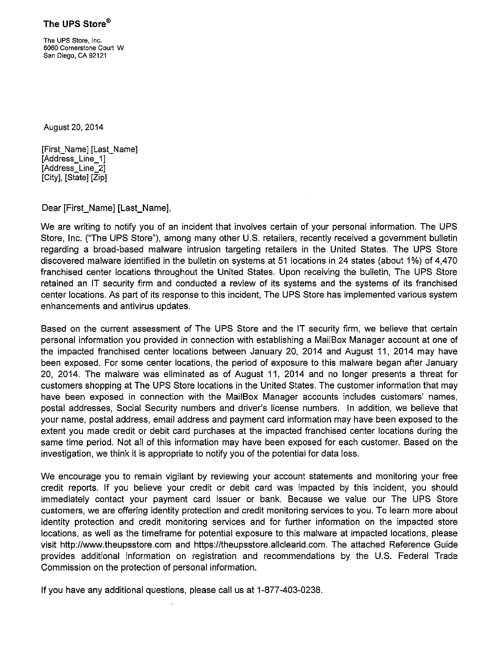The UPS Store®

The UPS Store, Inc. 6060 Cornerstone Court W San Diego, CA 92121

August 20, 2014

[First\_Name] [Last\_Name] [Address\_Line\_1] [Address\_Line\_2] [City], [State] [Zip]

Dear [First\_Name] [Last\_Name],

We are writing to notify you of an incident that involves certain of your personal information. The UPS Store, Inc. ("The UPS Store"), among many other U.S. retailers, recently received a government bulletin regarding a broad-based malware intrusion targeting retailers in the United States. The UPS Store discovered malware identified in the bulletin on systems at5l locations in 24 states (about 1%) of 4,470 franchised center locations throughout the United States. Upon receiving the bulletin, The UPS Store retained an IT security firm and conducted a review of its systems and the systems of its franchised center locations. As part of its response to this incident, The UPS Store has implemented various system enhancements and antivirus updates.

Based on the current assessment of The UPS Store and the IT security firm, we believe that certain personal information you provided in connection with establishing a MailBox Manager account at one of the impacted franchised center locations between January 20, 2014 and August 11, 2014 may have been exposed. For some center locations, the period of exposure to this malware began after January 20, 2014. The malware was eliminated as of August 11, 2014 and no longer presents a threat for customers shopping at The UPS Store locations in the United States. The customer information that may have been exposed in connection with the MailBox Manager accounts includes customers' names, postal addresses, Social Security numbers and driver's license numbers. In addition, we believe that your name, postal address, email address and payment card information may have been exposed to the extent you made credit or debit card purchases at the impacted franchised center locations during the same time period. Not all of this information may have been exposed for each customer. Based on the investigation, we think it is appropriate to notify you of the potential for data loss.

We encourage you to remain vigilant by reviewing your account statements and monitoring your free credit reports. If you believe your credit or debit card was impacted by this incident, you should immediately contact your payment card issuer or bank. Because we value our The UPS Store customers, we are offering identity protection and credit monitoring services to you. To learn more about identity protection and credit monitoring services and for further information on the impacted store locations, as well as the timeframe for potential exposure to this malware at impacted locations, please visit http://www.theupsstore.com and https://theupsstore.allclearid.com. The attached Reference Guide provides additional information on registration and recommendations by the U.S. Federal Trade Commission on the protection of personal information.

If you have any additional questions, please call us at 1-877-403-0238.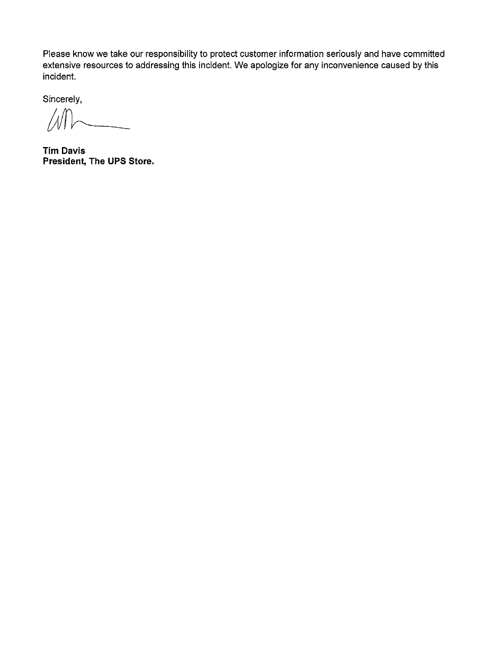Please know we take our responsibility to protect customer information seriously and have committed extensive resources to addressing this incident. We apologize for any inconvenience caused by this incident.

Sincerely,

 $\overline{\phantom{a}}$  $\sqrt{2}$ 

Tim Davis President, The UPS Store.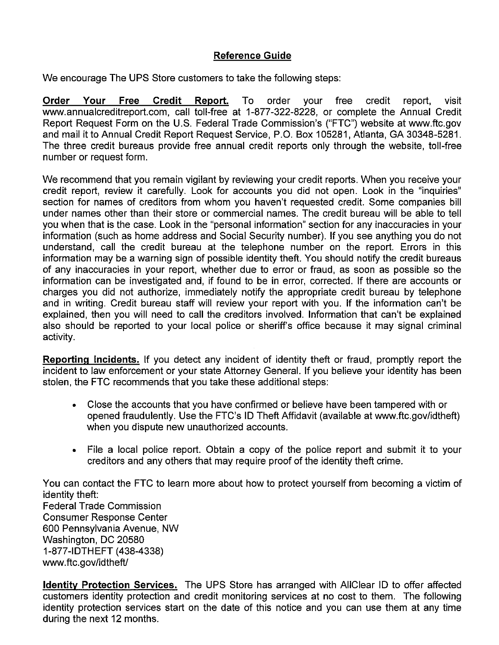## Reference Guide

We encourage The UPS Store customers to take the following steps:

Order Your Free Credit Report. To order your free credit report, visit www.annualcreditreport.com, call toll-free at 1-877-322-8228, or complete the Annual Credit Report Request Form on the U.S. Federal Trade Commission's ("FTC") website at www.ftc.gov and mail it to Annual Credit Report Request Service, P.O. Box 105281, Atlanta, GA 30348-5281. The three credit bureaus provide free annual credit reports only through the website, toll-free number or request form.

We recommend that you remain vigilant by reviewing your credit reports. When you receive your credit report, review it carefully. Look for accounts you did not open. Look in the "inquiries" section for names of creditors from whom you haven't requested credit. Some companies bill under names other than their store or commercial names. The credit bureau will be able to tell you when that is the case. Look in the "personal information" section for any inaccuracies in your information (such as home address and Social Security number). If you see anything you do not understand, call the credit bureau at the telephone number on the report. Errors in this information may be a warning sign of possible identity theft. You should notify the credit bureaus of any inaccuracies in your report, whether due to error or fraud, as soon as possible so the information can be investigated and, if found to be in error, corrected. If there are accounts or charges you did not authorize, immediately notify the appropriate credit bureau by telephone and in writing. Credit bureau staff will review your report with you. If the information can't be explained, then you will need to call the creditors involved. Information that can't be explained also should be reported to your local police or sheriff's office because it may signal criminal activity.

Reporting Incidents. If you detect any incident of identity theft or fraud, promptly report the incident to law enforcement or your state Attorney General. If you believe your identity has been stolen, the FTC recommends that you take these additional steps:

- Close the accounts that you have confirmed or believe have been tampered with or opened fraudulently. Use the FTC's ID Theft Affidavit (available at www.ftc.gov/idtheft) when you dispute new unauthorized accounts.
- File a local police report. Obtain a copy of the police report and submit it to your creditors and any others that may require proof of the identity theft crime.

You can contact the FTC to learn more about how to protect yourself from becoming a victim of identity theft: Federal Trade Commission Consumer Response Center 600 Pennsylvania Avenue, NW Washington, DC 20580 <sup>1</sup> -877-IDTHEFT (438-4338) www.ftc.gov/idtheft/

**Identity Protection Services.** The UPS Store has arranged with AliClear ID to offer affected customers identity protection and credit monitoring services at no cost to them. The following identity protection services start on the date of this notice and you can use them at any time during the next 12 months.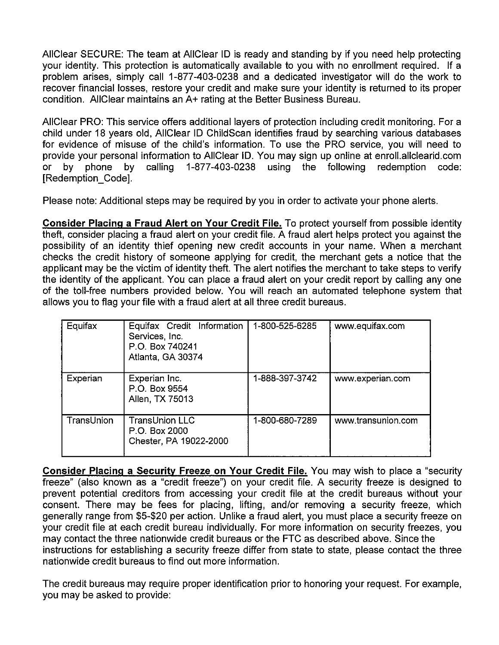AlIClear SECURE: The team at AliClear ID is ready and standing by if you need help protecting your identity. This protection is automatically available to you with no enrollment required. If a problem arises, simply call 1-877-403-0238 and a dedicated investigator will do the work to recover financial losses, restore your credit and make sure your identity is returned to its proper condition. AliClear maintains an A+ rating at the Better Business Bureau.

AlIClear PRO: This service offers additional layers of protection including credit monitoring. For a child under 18 years old, AlIClear ID ChildScan identifies fraud by searching various databases for evidence of misuse of the child's information. To use the PRO service, you will need to provide your personal information to AlIClear ID. You may sign up online at enroll.allclearid.com or by phone by calling 1-877-403-0238 using the following redemption code: [Redemption\_Code].

Please note: Additional steps may be required by you in order to activate your phone alerts.

Consider Placing a Fraud Alert on Your Credit File. To protect yourself from possible identity theft, consider placing a fraud alert on your credit file. A fraud alert helps protect you against the possibility of an identity thief opening new credit accounts in your name. When a merchant checks the credit history of someone applying for credit, the merchant gets a notice that the applicant may be the victim of identity theft. The alert notifies the merchant to take steps to verify the identity of the applicant. You can place a fraud alert on your credit report by calling any one of the toll-free numbers provided below. You will reach an automated telephone system that allows you to flag your file with a fraud alert at all three credit bureaus.

| Equifax    | Equifax Credit Information<br>Services, Inc.<br>P.O. Box 740241<br>Atlanta, GA 30374 | 1-800-525-6285 | www.equifax.com    |
|------------|--------------------------------------------------------------------------------------|----------------|--------------------|
| Experian   | Experian Inc.<br>P.O. Box 9554<br>Allen, TX 75013                                    | 1-888-397-3742 | www.experian.com   |
| TransUnion | <b>TransUnion LLC</b><br>P.O. Box 2000<br>Chester, PA 19022-2000                     | 1-800-680-7289 | www.transunion.com |

Consider Placing a Security Freeze on Your Credit File. You may wish to place a "security freeze" (also known as a "credit freeze") on your credit file. A security freeze is designed to prevent potential creditors from accessing your credit file at the credit bureaus without your consent. There may be fees for placing, lifting, and/or removing a security freeze, which generally range from \$5420 per action. Unlike a fraud alert, you must place a security freeze on your credit file at each credit bureau individually. For more information on security freezes, you may contact the three nationwide credit bureaus or the FTC as described above. Since the instructions for establishing a security freeze differ from state to state, please contact the three nationwide credit bureaus to find out more information.

The credit bureaus may require proper identification prior to honoring your request. For example, you may be asked to provide: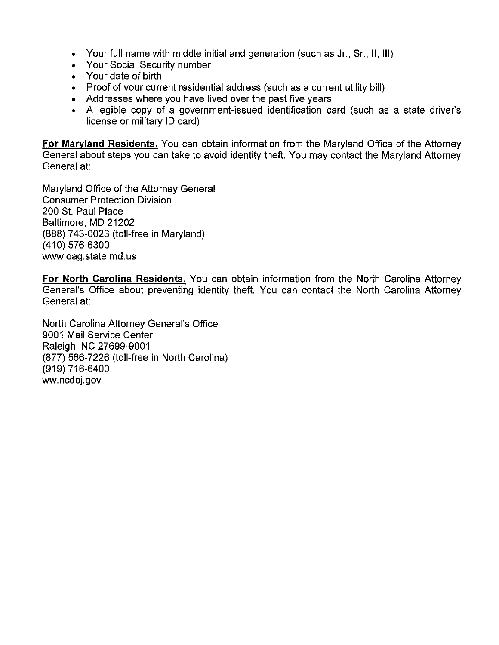- Your full name with middle initial and generation (such as Jr., Sr., II, Ill)
- Your Social Security number
- Your date of birth
- Proof of your current residential address (such as a current utility bill)
- Addresses where you have lived over the past five years
- A legible copy of a government-issued identification card (such as a state driver's license or military ID card)

For Maryland Residents. You can obtain information from the Maryland Office of the Attorney General about steps you can take to avoid identity theft. You may contact the Maryland Attorney General at:

Maryland Office of the Attorney General Consumer Protection Division 200 St. Paul Place Baltimore, MD 21202 (888) 743-0023 (toll-free in Maryland) (410) 576-6300 www.oag.state.md.us

For North Carolina Residents. You can obtain information from the North Carolina Attorney General's Office about preventing identity theft. You can contact the North Carolina Attorney General at:

North Carolina Attorney General's Office 9001 Mail Service Center Raleigh, NC 27699-9001 (877) 566-7226 (toll-free in North Carolina) (919) 716-6400 ww.ncdoj.gov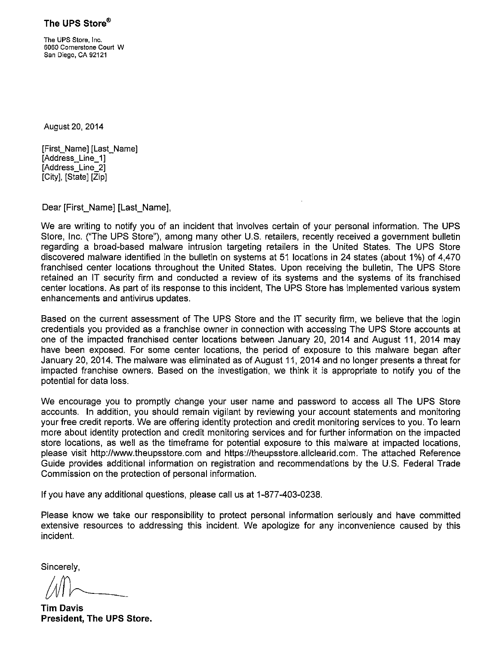The UPS Store, Inc. 6060 Cornerstone Court W San Diego, CA 92121

August 20, 2014

[First\_Name] [Last\_Name] [Address\_Line\_1] [Address\_Line\_2] [City], [State] [Zip]

Dear [First\_Name] [Last\_Name],

We are writing to notify you of an incident that involves certain of your personal information. The UPS Store, Inc. ("The UPS Store"), among many other U.S. retailers, recently received a government bulletin regarding a broad-based malware intrusion targeting retailers in the United States. The UPS Store discovered malware identified in the bulletin on systems at 51 locations in 24 states (about 1%) of 4,470 franchised center locations throughout the United States. Upon receiving the bulletin, The UPS Store retained an IT security firm and conducted a review of its systems and the systems of its franchised center locations. As part of its response to this incident, The UPS Store has implemented various system enhancements and antivirus updates.

Based on the current assessment of The UPS Store and the IT security firm, we believe that the login credentials you provided as a franchise owner in connection with accessing The UPS Store accounts at one of the impacted franchised center locations between January 20, 2014 and August 11, 2014 may have been exposed. For some center locations, the period of exposure to this malware began after January 20, 2014. The maiware was eliminated as of August 11, 2014 and no longer presents a threat for impacted franchise owners. Based on the investigation, we think it is appropriate to notify you of the potential for data loss.

We encourage you to promptly change your user name and password to access all The UPS Store accounts. In addition, you should remain vigilant by reviewing your account statements and monitoring your free credit reports. We are offering identity protection and credit monitoring services to you. To learn more about identity protection and credit monitoring services and for further information on the impacted store locations, as well as the timeframe for potential exposure to this malware at impacted locations, please visit http://www.theupsstore.com and https://theupsstore.allclearid.com. The attached Reference Guide provides additional information on registration and recommendations by the U.S. Federal Trade Commission on the protection of personal information.

If you have any additional questions, please call us at 1-877-403-0238.

Please know we take our responsibility to protect personal information seriously and have committed extensive resources to addressing this incident. We apologize for any inconvenience caused by this incident.

Sincerely,

Tim Davis President, The UPS Store.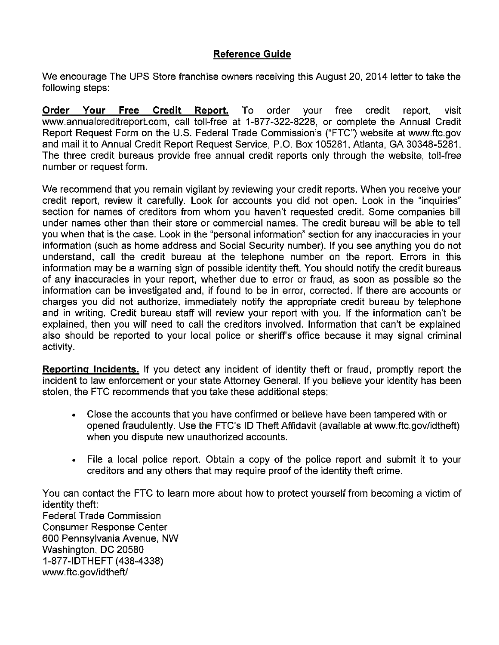## Reference Guide

We encourage The UPS Store franchise owners receiving this August 20, 2014 letter to take the following steps:

Order Your Free Credit Report. To order your free credit report, visit www.annualcreditreport.com, call toll-free at 1-877-322-8228, or complete the Annual Credit Report Request Form on the U.S. Federal Trade Commission's ("FTC") website at www.ftc.gov and mail it to Annual Credit Report Request Service, P.O. Box 105281, Atlanta, GA 30348-5281. The three credit bureaus provide free annual credit reports only through the website, toll-free number or request form.

We recommend that you remain vigilant by reviewing your credit reports. When you receive your credit report, review it carefully. Look for accounts you did not open. Look in the "inquiries" section for names of creditors from whom you haven't requested credit. Some companies bill under names other than their store or commercial names. The credit bureau will be able to tell you when that is the case. Look in the "personal information" section for any inaccuracies in your information (such as home address and Social Security number). If you see anything you do not understand, call the credit bureau at the telephone number on the report. Errors in this information may be a warning sign of possible identity theft. You should notify the credit bureaus of any inaccuracies in your report, whether due to error or fraud, as soon as possible so the information can be investigated and, if found to be in error, corrected. If there are accounts or charges you did not authorize, immediately notify the appropriate credit bureau by telephone and in writing. Credit bureau staff will review your report with you. If the information can't be explained, then you will need to call the creditors involved. Information that can't be explained also should be reported to your local police or sheriff's office because it may signal criminal activity.

Reporting Incidents. If you detect any incident of identity theft or fraud, promptly report the incident to law enforcement or your state Attorney General. If you believe your identity has been stolen, the FTC recommends that you take these additional steps:

- Close the accounts that you have confirmed or believe have been tampered with or opened fraudulently. Use the FTC's ID Theft Affidavit (available at www.ftc.gov/idtheft) when you dispute new unauthorized accounts.
- File a local police report. Obtain a copy of the police report and submit it to your creditors and any others that may require proof of the identity theft crime.

You can contact the FTC to learn more about how to protect yourself from becoming a victim of identity theft: Federal Trade Commission Consumer Response Center 600 Pennsylvania Avenue, NW Washington, DC 20580 1-877-IDTHEFT (438-4338) www.ftc.gov/idtheft/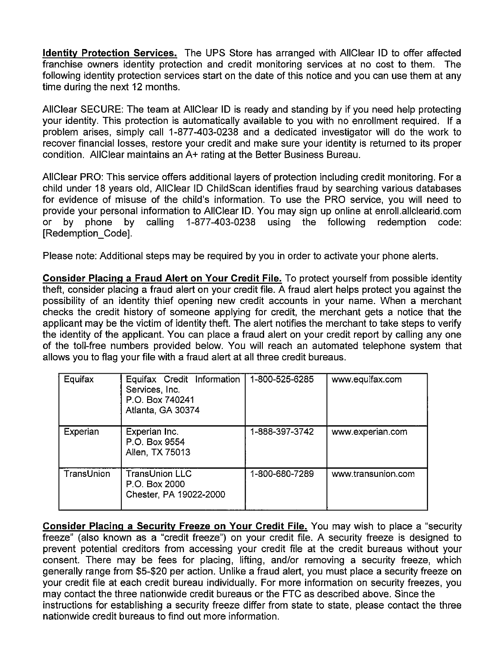Identity Protection Services. The UPS Store has arranged with AliClear ID to offer affected franchise owners identity protection and credit monitoring services at no cost to them. The following identity protection services start on the date of this notice and you can use them at any time during the next 12 months.

AllCIear SECURE: The team at AllClear ID is ready and standing by if you need help protecting your identity. This protection is automatically available to you with no enrollment required. If a problem arises, simply call 1-877-403-0238 and a dedicated investigator will do the work to recover financial losses, restore your credit and make sure your identity is returned to its proper condition. AlIClear maintains an A+ rating at the Better Business Bureau.

AlIClear PRO: This service offers additional layers of protection including credit monitoring. For a child under 18 years old, AlIClear ID ChildScan identifies fraud by searching various databases for evidence of misuse of the child's information. To use the PRO service, you will need to provide your personal information to AlIClear ID. You may sign up online at enroll.allclearid.com or by phone by calling 1-877-403-0238 using the following redemption code: [Redemption\_Code].

Please note: Additional steps may be required by you in order to activate your phone alerts.

Consider Placing a Fraud Alert on Your Credit File. To protect yourself from possible identity theft, consider placing a fraud alert on your credit file. A fraud alert helps protect you against the possibility of an identity thief opening new credit accounts in your name. When a merchant checks the credit history of someone applying for credit, the merchant gets a notice that the applicant may be the victim of identity theft. The alert notifies the merchant to take steps to verify the identity of the applicant. You can place a fraud alert on your credit report by calling any one of the toll-free numbers provided below. You will reach an automated telephone system that allows you to flag your file with a fraud alert at all three credit bureaus.

| Equifax    | Equifax Credit Information<br>Services, Inc.<br>P.O. Box 740241<br>Atlanta, GA 30374 | 1-800-525-6285 | www.equifax.com    |
|------------|--------------------------------------------------------------------------------------|----------------|--------------------|
| Experian   | Experian Inc.<br>P.O. Box 9554<br>Allen, TX 75013                                    | 1-888-397-3742 | www.experian.com   |
| TransUnion | TransUnion LLC<br>P.O. Box 2000<br>Chester, PA 19022-2000                            | 1-800-680-7289 | www.transunion.com |

Consider Placing a Security Freeze on Your Credit File. You may wish to place a "security freeze" (also known as a "credit freeze") on your credit file. A security freeze is designed to prevent potential creditors from accessing your credit file at the credit bureaus without your consent. There may be fees for placing, lifting, and/or removing a security freeze, which generally range from \$5420 per action. Unlike a fraud alert, you must place a security freeze on your credit file at each credit bureau individually. For more information on security freezes, you may contact the three nationwide credit bureaus or the FTC as described above. Since the instructions for establishing a security freeze differ from state to state, please contact the three nationwide credit bureaus to find out more information.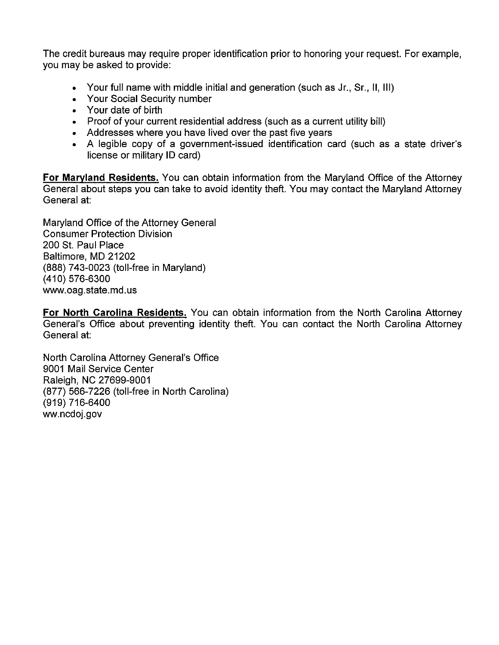The credit bureaus may require proper identification prior to honoring your request. For example, you may be asked to provide:

- Your full name with middle initial and generation (such as Jr., Sr., II, Ill)
- Your Social Security number
- Your date of birth
- Proof of your current residential address (such as a current utility bill)
- Addresses where you have lived over the past five years
- A legible copy of a government-issued identification card (such as a state driver's license or military ID card)

For Maryland Residents. You can obtain information from the Maryland Office of the Attorney General about steps you can take to avoid identity theft. You may contact the Maryland Attorney General at:

Maryland Office of the Attorney General Consumer Protection Division 200 St. Paul Place Baltimore, MD 21202 (888) 743-0023 (toll-free in Maryland) (410) 576-6300 www. oag . state. md . us

For North Carolina Residents. You can obtain information from the North Carolina Attorney General's Office about preventing identity theft. You can contact the North Carolina Attorney General at:

North Carolina Attorney General's Office 9001 Mail Service Center Raleigh, NC 27699-9001 (877) 566-7226 (toll-free in North Carolina) (919) 716-6400 ww.ncdoj.gov